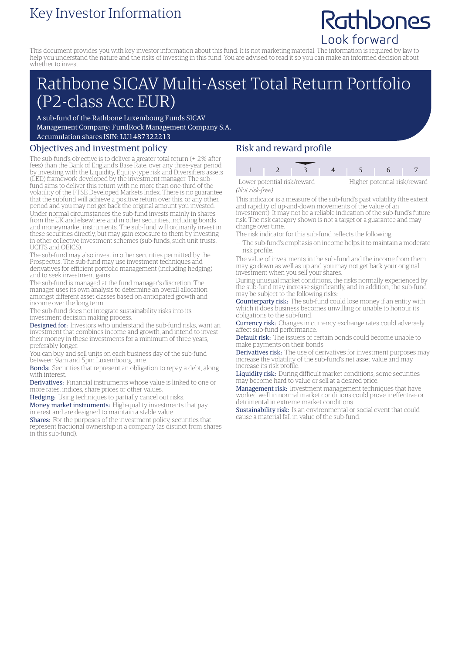# Key Investor Information

# Rathbones Look forward

This document provides you with key investor information about this fund. It is not marketing material. The information is required by law to help you understand the nature and the risks of investing in this fund. You are advised to read it so you can make an informed decision about whether to invest.

# Rathbone SICAV Multi-Asset Total Return Portfolio (P2-class Acc EUR)

A sub-fund of the Rathbone Luxembourg Funds SICAV Management Company: FundRock Management Company S.A. Accumulation shares ISIN: LU1487322213

## Objectives and investment policy

The sub-fund's objective is to deliver a greater total return (+ 2% after fees) than the Bank of England's Base Rate, over any three-year period by investing with the Liquidity, Equity-type risk and Diversifiers assets (LED) framework developed by the investment manager. The subfund aims to deliver this return with no more than one-third of the volatility of the FTSE Developed Markets Index. There is no guarantee that the subfund will achieve a positive return over this, or any other, period and you may not get back the original amount you invested. Under normal circumstances the sub-fund invests mainly in shares from the UK and elsewhere and in other securities, including bonds and moneymarket instruments. The sub-fund will ordinarily invest in these securities directly, but may gain exposure to them by investing in other collective investment schemes (sub-funds, such unit trusts, UCITS and OEICS).

The sub-fund may also invest in other securities permitted by the Prospectus. The sub-fund may use investment techniques and derivatives for efficient portfolio management (including hedging) and to seek investment gains.

The sub-fund is managed at the fund manager's discretion. The manager uses its own analysis to determine an overall allocation amongst different asset classes based on anticipated growth and income over the long term.

The sub-fund does not integrate sustainability risks into its investment decision making process.

Designed for: Investors who understand the sub-fund risks, want an investment that combines income and growth, and intend to invest their money in these investments for a minimum of three years, preferably longer.

You can buy and sell units on each business day of the sub-fund between 9am and 5pm Luxembourg time.

Bonds: Securities that represent an obligation to repay a debt, along with interest.

Derivatives: Financial instruments whose value is linked to one or more rates, indices, share prices or other values.

Hedging: Using techniques to partially cancel out risks.

Money market instruments: High-quality investments that pay interest and are designed to maintain a stable value.

Shares: For the purposes of the investment policy, securities that represent fractional ownership in a company (as distinct from shares in this sub-fund).

## Risk and reward profile

| Lower potential risk/reward |  |  | Higher potential risk/reward |  |  |  |
|-----------------------------|--|--|------------------------------|--|--|--|

*(Not risk-free)*

This indicator is a measure of the sub-fund's past volatility (the extent and rapidity of up-and-down movements of the value of an investment). It may not be a reliable indication of the sub-fund's future risk. The risk category shown is not a target or a guarantee and may change over time.

- The risk indicator for this sub-fund reflects the following:
- The sub-fund's emphasis on income helps it to maintain a moderate risk profile.

The value of investments in the sub-fund and the income from them may go down as well as up and you may not get back your original investment when you sell your shares.

During unusual market conditions, the risks normally experienced by the sub-fund may increase significantly, and in addition, the sub-fund may be subject to the following risks:

Counterparty risk: The sub-fund could lose money if an entity with which it does business becomes unwilling or unable to honour its obligations to the sub-fund.

**Currency risk:** Changes in currency exchange rates could adversely affect sub-fund performance.

Default risk: The issuers of certain bonds could become unable to make payments on their bonds.

Derivatives risk: The use of derivatives for investment purposes may increase the volatility of the sub-fund's net asset value and may increase its risk profile.

Liquidity risk: During difficult market conditions, some securities may become hard to value or sell at a desired price.

Management risk: Investment management techniques that have worked well in normal market conditions could prove ineffective or detrimental in extreme market conditions.

Sustainability risk: Is an environmental or social event that could cause a material fall in value of the sub-fund.